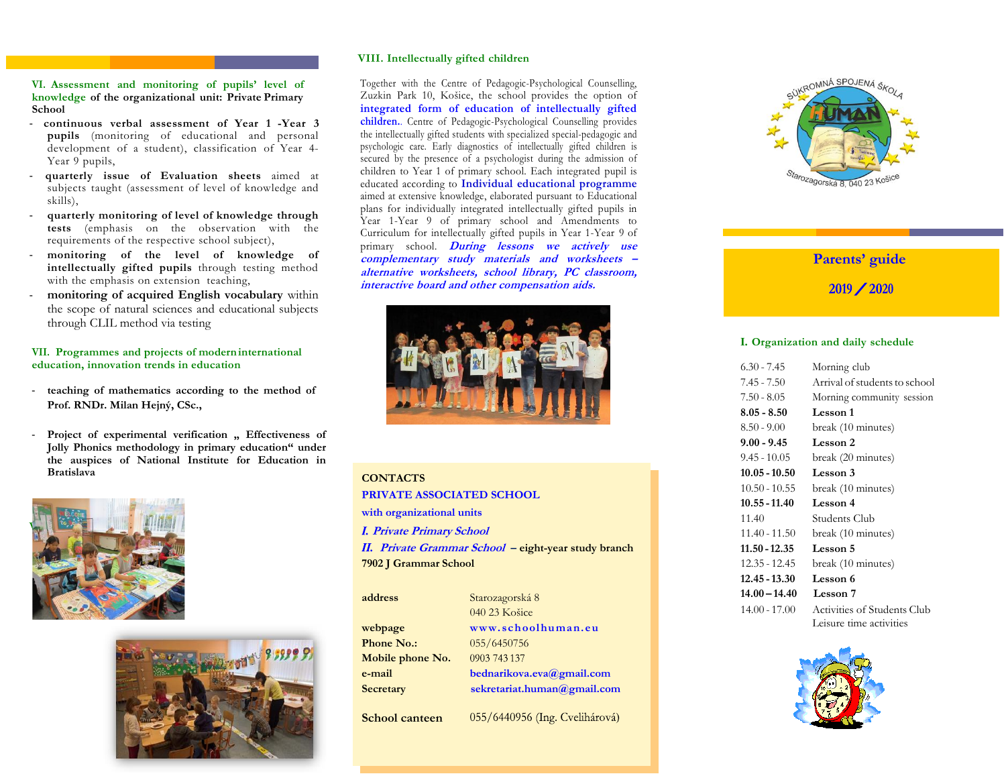## **VI. Assessment and monitoring of pupils' level of knowledge of the organizational unit: Private Primary School**

- **continuous verbal assessment of Year 1 -Year 3 pupils** (monitoring of educational and personal development of a student), classification of Year 4- Year 9 pupils,
- **quarterly issue of Evaluation sheets** aimed at subjects taught (assessment of level of knowledge and skills),
- **quarterly monitoring of level of knowledge through tests** (emphasis on the observation with the requirements of the respective school subject),
- **monitoring of the level of knowledge of intellectually gifted pupils** through testing method with the emphasis on extension teaching,
- **monitoring of acquired English vocabulary** within the scope of natural sciences and educational subjects through CLIL method via testing

# **VII. Programmes and projects of moderninternational education, innovation trends in education**

- **teaching of mathematics according to the method of Prof. RNDr. Milan Hejný, CSc.,**
- Project of experimental verification . Effectiveness of **Jolly Phonics methodology in primary education" under the auspices of National Institute for Education in Bratislava**





## **VIII. Intellectually gifted children**

Together with the Centre of Pedagogic-Psychological Counselling, Zuzkin Park 10, Košice, the school provides the option of **integrated form of education of intellectually gifted children.**. Centre of Pedagogic-Psychological Counselling provides the intellectually gifted students with specialized special-pedagogic and psychologic care. Early diagnostics of intellectually gifted children is secured by the presence of a psychologist during the admission of children to Year 1 of primary school. Each integrated pupil is educated according to **Individual educational programme**  aimed at extensive knowledge, elaborated pursuant to Educational plans for individually integrated intellectually gifted pupils in Year 1-Year 9 of primary school and Amendments to Curriculum for intellectually gifted pupils in Year 1-Year 9 of primary school*.* **During lessons we actively use complementary study materials and worksheets – alternative worksheets, school library, PC classroom, interactive board and other compensation aids.**



# **CONTACTS**

#### **PRIVATE ASSOCIATED SCHOOL**

**with organizational units**

**Private Primary School**

**Private Grammar School – eight-year study branch 7902 J Grammar School**

| address           | Starozagorská 8             |  |  |  |
|-------------------|-----------------------------|--|--|--|
|                   | 040 23 Košice               |  |  |  |
| webpage           | www.schoolhuman.eu          |  |  |  |
| <b>Phone No.:</b> | 055/6450756                 |  |  |  |
| Mobile phone No.  | 0903 743 137                |  |  |  |
| e-mail            | bednarikova.eva@gmail.com   |  |  |  |
| <b>Secretary</b>  | sekretariat.human@gmail.com |  |  |  |
|                   |                             |  |  |  |

055/6440956 (Ing. Cvelihárová)

**School canteen**

SUKROMNÁ SPOJENÁ ŠKOLA rozagorská 8. 040 23 Kc

# **Parents' guide**

 $2019 / 2020$ 

# **I. Organization and daily schedule**

| 6.30 - 7.45     | Morning club                       |
|-----------------|------------------------------------|
| 7.45 - 7.50     | Arrival of students to school      |
| $7.50 - 8.05$   | Morning community session          |
| $8.05 - 8.50$   | Lesson 1                           |
| $8.50 - 9.00$   | break (10 minutes)                 |
| 9.00 - 9.45     | <b>Lesson 2</b>                    |
| 9.45 - 10.05    | break (20 minutes)                 |
| 10.05 - 10.50   | Lesson 3                           |
| $10.50 - 10.55$ | break (10 minutes)                 |
| 10.55 - 11.40   | Lesson 4                           |
| 11.40           | Students Club                      |
| 11.40 - 11.50   | break (10 minutes)                 |
|                 |                                    |
| 11.50 - 12.35   | Lesson 5                           |
| 12.35 - 12.45   | break (10 minutes)                 |
| 12.45 - 13.30   | Lesson 6                           |
| 14.00 – 14.40   | <b>Lesson</b> 7                    |
| 14.00 - 17.00   | <b>Activities of Students Club</b> |